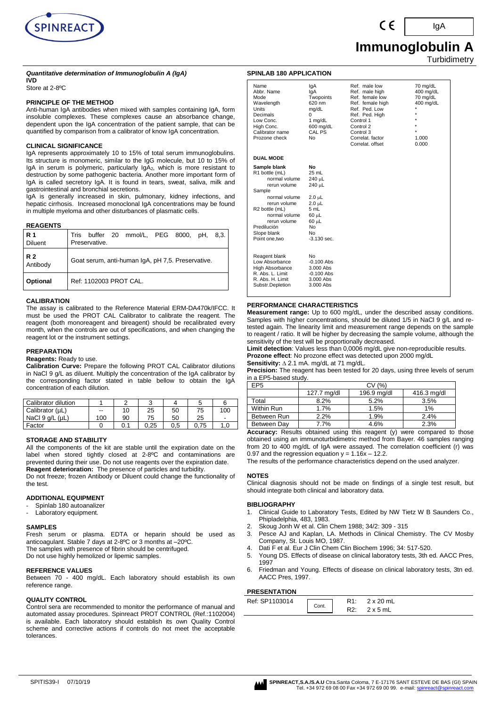

# **Immunoglobulin A**

**Turbidimetry** 

IgA

# *Quantitative determination of Immunoglobulin A (IgA)*

# **IVD**

Store at 2-8ºC

# **PRINCIPLE OF THE METHOD**

Anti-human IgA antibodies when mixed with samples containing IgA, form insoluble complexes. These complexes cause an absorbance change, dependent upon the IgA concentration of the patient sample, that can be quantified by comparison from a calibrator of know IgA concentration.

# **CLINICAL SIGNIFICANCE**

IgA represents approximately 10 to 15% of total serum immunoglobulins. Its structure is monomeric, similar to the IgG molecule, but 10 to 15% of IgA in serum is polymeric, particularly IgA<sub>2</sub>, which is more resistant to destruction by some pathogenic bacteria. Another more important form of IgA is called secretory IgA. It is found in tears, sweat, saliva, milk and gastrointestinal and bronchial secretions.

IgA is generally increased in skin, pulmonary, kidney infections, and hepatic cirrhosis. Increased monoclonal IgA concentrations may be found in multiple myeloma and other disturbances of plasmatic cells.

#### **REAGENTS**

| l R 1<br>Diluent | Tris buffer 20 mmol/L, PEG 8000, pH, 8,3.<br>Preservative. |
|------------------|------------------------------------------------------------|
| R 2<br>Antibody  | Goat serum, anti-human IgA, pH 7,5. Preservative.          |
| Optional         | Ref: 1102003 PROT CAL.                                     |

#### **CALIBRATION**

The assay is calibrated to the Reference Material ERM-DA470k/IFCC. It must be used the PROT CAL Calibrator to calibrate the reagent. The reagent (both monoreagent and bireagent) should be recalibrated every month, when the controls are out of specifications, and when changing the reagent lot or the instrument settings.

## **PREPARATION**

#### **Reagents:** Ready to use.

**Calibration Curve:** Prepare the following PROT CAL Calibrator dilutions in NaCl 9 g/L as diluent. Multiply the concentration of the IgA calibrator by the corresponding factor stated in table bellow to obtain the IgA concentration of each dilution.

| Calibrator dilution     |     |    |      |     |      | 6   |
|-------------------------|-----|----|------|-----|------|-----|
| Calibrator (µL)         | --  | 10 | 25   | 50  | 75   | 100 |
| NaCl $9$ q/L ( $\mu$ L) | 100 | 90 | 75   | 50  | 25   | ۰   |
| Factor                  |     |    | 0.25 | 0.5 | 0.75 |     |

# **STORAGE AND STABILITY**

All the components of the kit are stable until the expiration date on the label when stored tightly closed at 2-8°C and contaminations are prevented during their use. Do not use reagents over the expiration date. **Reagent deterioration:** The presence of particles and turbidity.

Do not freeze; frozen Antibody or Diluent could change the functionality of the test.

# **ADDITIONAL EQUIPMENT**

- Spinlab 180 autoanalizer
- Laboratory equipment.

## **SAMPLES**

Fresh serum or plasma. EDTA or heparin should be used as anticoagulant. Stable 7 days at 2-8ºC or 3 months at –20ºC. The samples with presence of fibrin should be centrifuged.

Do not use highly hemolized or lipemic samples.

#### **REFERENCE VALUES**

Between 70 - 400 mg/dL. Each laboratory should establish its own reference range.

#### **QUALITY CONTROL**

Control sera are recommended to monitor the performance of manual and automated assay procedures. Spinreact PROT CONTROL (Ref.:1102004) is available. Each laboratory should establish its own Quality Control scheme and corrective actions if controls do not meet the acceptable tolerances.

| <b>SPINLAB 180 APPLICATION</b>                                                                                                                                                                                            |                                                                                                                                  |                                                                                                                                                                                          |                                                                             |
|---------------------------------------------------------------------------------------------------------------------------------------------------------------------------------------------------------------------------|----------------------------------------------------------------------------------------------------------------------------------|------------------------------------------------------------------------------------------------------------------------------------------------------------------------------------------|-----------------------------------------------------------------------------|
| Name<br>Abbr. Name<br>Mode<br>Wavelength<br>Units<br>Decimals<br>Low Conc.<br>High Conc.<br>Calibrator name<br>Prozone check                                                                                              | lgA<br>lgA<br>Twopoints<br>620 nm<br>mg/dL<br>$\Omega$<br>1 $mg/dL$<br>600 mg/dL<br>CAL PS<br>No                                 | Ref. male low<br>Ref. male high<br>Ref. female low<br>Ref. female high<br>Ref. Ped. Low<br>Ref. Ped. High<br>Control 1<br>Control 2<br>Control 3<br>Correlat, factor<br>Correlat, offset | 70 mg/dL<br>400 mg/dL<br>70 mg/dL<br>400 mg/dL<br>$\star$<br>1.000<br>0.000 |
| <b>DUAL MODE</b>                                                                                                                                                                                                          |                                                                                                                                  |                                                                                                                                                                                          |                                                                             |
| Sample blank<br>R1 bottle (mL)<br>normal volume<br>rerun volume<br>Sample<br>normal volume<br>rerun volume<br>R <sub>2</sub> bottle (mL)<br>normal volume<br>rerun volume<br>Predilución<br>Slope blank<br>Point one, two | No<br>25 mL<br>240 µL<br>240 µL<br>$2.0 \mu L$<br>$2.0 \mu L$<br>5 mL<br>60 µL<br>60 µL<br>N <sub>o</sub><br>No<br>$-3.130$ sec. |                                                                                                                                                                                          |                                                                             |
| Reagent blank<br>Low Absorbance<br>High Absorbance<br>R. Abs. L. Limit<br>R. Abs. H. Limit<br>Substr.Depletion                                                                                                            | No<br>$-0.100$ Abs<br>3.000 Abs<br>$-0.100$ Abs<br>3.000 Abs<br>3.000 Abs                                                        |                                                                                                                                                                                          |                                                                             |

## **PERFORMANCE CHARACTERISTICS**

**Measurement range:** Up to 600 mg/dL, under the described assay conditions. Samples with higher concentrations, should be diluted 1/5 in NaCl 9 g/L and retested again. The linearity limit and measurement range depends on the sample to reagent / ratio. It will be higher by decreasing the sample volume, although the sensitivity of the test will be proportionally decreased.

**Limit detection**: Values less than 0,0006 mg/dL give non-reproducible results. **Prozone effect**: No prozone effect was detected upon 2000 mg/dL

**Sensitivity:** ∆ 2.1 mA. mg/dL at 71 mg/dL.

**Precision:** The reagent has been tested for 20 days, using three levels of serum in a EP5-based study.

| EP <sub>5</sub> | CV (%)      |             |             |  |  |  |
|-----------------|-------------|-------------|-------------|--|--|--|
|                 | 127.7 mg/dl | 196.9 mg/dl | 416.3 mg/dl |  |  |  |
| Total           | 8.2%        | 5.2%        | 3.5%        |  |  |  |
| Within Run      | 1.7%        | 1.5%        | 1%          |  |  |  |
| Between Run     | 2.2%        | 1.9%        | 2.4%        |  |  |  |
| Between Dav     | 7.7%        | 4.6%        | 2.3%        |  |  |  |

Accuracy: Results obtained using this reagent (y) were compared to those obtained using an immunoturbidimetric method from Bayer. 46 samples ranging from 20 to 400 mg/dL of IgA were assayed. The correlation coefficient (r) was 0.97 and the regression equation  $y = 1.16x - 12.2$ .

The results of the performance characteristics depend on the used analyzer.

#### **NOTES**

Clinical diagnosis should not be made on findings of a single test result, but should integrate both clinical and laboratory data.

#### **BIBLIOGRAPHY**

- 1. Clinical Guide to Laboratory Tests, Edited by NW Tietz W B Saunders Co., Phipladelphia, 483, 1983.
	- 2. Skoug Jonh W et al. Clin Chem 1988; 34/2: 309 315
- 3. Pesce AJ and Kaplan, LA. Methods in Clinical Chemistry. The CV Mosby Company, St. Louis MO, 1987.
- 4. Dati F et al. Eur J Clin Chem Clin Biochem 1996; 34: 517-520.
- 5. Young DS. Effects of disease on clinical laboratory tests, 3th ed. AACC Pres, 1997
- 6. Friedman and Young. Effects of disease on clinical laboratory tests, 3tn ed. AACC Pres, 1997.

# **PRESENTATION**

| .              |       |                  |
|----------------|-------|------------------|
| Ref: SP1103014 | Cont. | $2 \times 20$ mL |
|                |       | 2x5mL            |

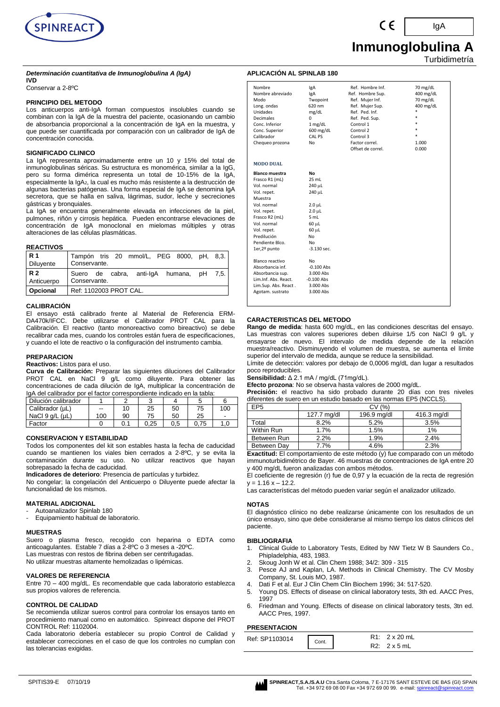

# **Inmunoglobulina A**

Turbidimetría

IgA

# **APLICACIÓN AL SPINLAB 180**

# **IVD**

Conservar a 2-8ºC

# **PRINCIPIO DEL METODO**

Los anticuerpos anti-IgA forman compuestos insolubles cuando se combinan con la IgA de la muestra del paciente, ocasionando un cambio de absorbancia proporcional a la concentración de IgA en la muestra, y que puede ser cuantificada por comparación con un calibrador de IgA de concentración conocida.

*Determinación cuantitativa de Inmunoglobulina A (IgA)*

## **SIGNIFICADO CLINICO**

La IgA representa aproximadamente entre un 10 y 15% del total de inmunoglobulinas séricas. Su estructura es monomérica, similar a la IgG, pero su forma dimérica representa un total de 10-15% de la IgA, especialmente la IgA<sub>2</sub>, la cual es mucho más resistente a la destrucción de algunas bacterias patógenas. Una forma especial de IgA se denomina IgA secretora, que se halla en saliva, lágrimas, sudor, leche y secreciones gástricas y bronquiales.

La IgA se encuentra generalmente elevada en infecciones de la piel, pulmones, riñón y cirrosis hepática. Pueden encontrarse elevaciones de concentración de IgA monoclonal en mielomas múltiples y otras alteraciones de las células plasmáticas.

# **REACTIVOS**

| <b>R1</b>        | Tampón tris 20 mmol/L, PEG 8000, pH, 8,3. |
|------------------|-------------------------------------------|
| <b>Diluyente</b> | Conservante.                              |
| <b>R2</b>        | Suero de cabra, anti-IgA humana, pH 7,5.  |
| Anticuerpo       | Conservante.                              |
| Opcional         | Ref: 1102003 PROT CAL.                    |

# **CALIBRACIÓN**

El ensayo está calibrado frente al Material de Referencia ERM-DA470k/IFCC. Debe utilizarse el Calibrador PROT CAL para la Calibración. El reactivo (tanto monoreactivo como bireactivo) se debe recalibrar cada mes, cuando los controles están fuera de especificaciones, y cuando el lote de reactivo o la configuración del instrumento cambia.

#### **PREPARACION**

#### **Reactivos:** Listos para el uso.

**Curva de Calibración:** Preparar las siguientes diluciones del Calibrador PROT CAL en NaCl 9 g/L como diluyente. Para obtener las concentraciones de cada dilución de IgA, multiplicar la concentración de IgA del calibrador por el factor correspondiente indicado en la tabla:

| Dilución calibrador     |     |    |      |     |      |     |
|-------------------------|-----|----|------|-----|------|-----|
| Calibrador (µL)         | --  |    | 25   | 50  | 75   | 100 |
| NaCl $9$ q/L ( $\mu$ L) | 100 | 90 | 75   | 50  | 25   | ۰.  |
| Factor                  |     |    | 0.25 | 0.5 | 0.75 | 1.C |

# **CONSERVACION Y ESTABILIDAD**

Todos los componentes del kit son estables hasta la fecha de caducidad cuando se mantienen los viales bien cerrados a 2-8ºC, y se evita la contaminación durante su uso. No utilizar reactivos que hayan sobrepasado la fecha de caducidad.

**Indicadores de deterioro**: Presencia de partículas y turbidez.

No congelar; la congelación del Anticuerpo o Diluyente puede afectar la funcionalidad de los mismos.

# **MATERIAL ADICIONAL**

- Autoanalizador Spinlab 180
- Equipamiento habitual de laboratorio.

# **MUESTRAS**

Suero o plasma fresco, recogido con heparina o EDTA como anticoagulantes. Estable 7 días a 2-8ºC o 3 meses a -20ºC. Las muestras con restos de fibrina deben ser centrifugadas. No utilizar muestras altamente hemolizadas o lipémicas.

# **VALORES DE REFERENCIA**

Entre 70 – 400 mg/dL. Es recomendable que cada laboratorio establezca sus propios valores de referencia.

# **CONTROL DE CALIDAD**

Se recomienda utilizar sueros control para controlar los ensayos tanto en procedimiento manual como en automático. Spinreact dispone del PROT CONTROL Ref: 1102004.

Cada laboratorio debería establecer su propio Control de Calidad y establecer correcciones en el caso de que los controles no cumplan con las tolerancias exigidas.

| Nombre                | lgA                | Ref. Hombre Inf.  | 70 mg/dL  |
|-----------------------|--------------------|-------------------|-----------|
| Nombre abreviado      | lgA                | Ref. Hombre Sup.  | 400 mg/dL |
| Modo                  | Twopoint           | Ref. Mujer Inf.   | 70 mg/dL  |
| Long. ondas           | 620 nm             | Ref. Mujer Sup.   | 400 mg/dL |
| Unidades              | mg/dL              | Ref. Ped. Inf.    |           |
| <b>Decimales</b>      | 0                  | Ref. Ped. Sup.    | ÷         |
| Conc. Inferior        | $1$ mg/dL          | Control 1         |           |
| Conc. Superior        | 600 mg/dL          | Control 2         |           |
| Calibrador            | CAL PS             | Control 3         |           |
| Chequeo prozona       | No                 | Factor correl.    | 1.000     |
|                       |                    | Offset de correl. | 0.000     |
|                       |                    |                   |           |
| <b>MODO DUAL</b>      |                    |                   |           |
| <b>Blanco muestra</b> | No                 |                   |           |
| Frasco R1 (mL)        | 25 mL              |                   |           |
| Vol. normal           | 240 µL             |                   |           |
| Vol. repet.           | 240 µL             |                   |           |
| Muestra               |                    |                   |           |
| Vol. normal           | $2.0 \mu L$        |                   |           |
| Vol. repet.           | 2.0 <sub>µ</sub> L |                   |           |
| Frasco R2 (mL)        | 5 mL               |                   |           |
| Vol. normal           | 60 µL              |                   |           |
| Vol. repet.           | 60 µL              |                   |           |
| Predilución           | No                 |                   |           |
| Pendiente Blco.       | No                 |                   |           |
| 1er,2º punto          | $-3.130$ sec.      |                   |           |
|                       |                    |                   |           |
| Blanco reactivo       | No                 |                   |           |
| Absorbancia inf.      | $-0.100$ Abs       |                   |           |
| Absorbancia sup.      | 3.000 Abs          |                   |           |
| Lim.Inf. Abs. React.  | $-0.100$ Abs       |                   |           |
| Lim.Sup. Abs. React.  | 3.000 Abs          |                   |           |
| Agotam. sustrato      | 3.000 Abs          |                   |           |
|                       |                    |                   |           |

# **CARACTERISTICAS DEL METODO**

**Rango de medida**: hasta 600 mg/dL, en las condiciones descritas del ensayo. Las muestras con valores superiores deben diluirse 1/5 con NaCl 9 g/L y ensayarse de nuevo. El intervalo de medida depende de la relación muestra/reactivo. Disminuyendo el volumen de muestra, se aumenta el límite superior del intervalo de medida, aunque se reduce la sensibilidad.

Límite de detección: valores por debajo de 0,0006 mg/dL dan lugar a resultados poco reproducibles.

**Sensibilidad:** Δ 2.1 mA / mg/dL (71mg/dL).

**Efecto prozona**: No se observa hasta valores de 2000 mg/dL.

**Precisión:** el reactivo ha sido probado durante 20 días con tres niveles diferentes de suero en un estudio basado en las normas EP5 (NCCLS).

| $\overline{P}P5$ | CV (%)      |             |             |  |  |  |
|------------------|-------------|-------------|-------------|--|--|--|
|                  | 127.7 mg/dl | 196.9 mg/dl | 416.3 mg/dl |  |  |  |
| Total            | 8.2%        | 5.2%        | 3.5%        |  |  |  |
| Within Run       | 1.7%        | 1.5%        | 1%          |  |  |  |
| Between Run      | 2.2%        | 1.9%        | 2.4%        |  |  |  |
| Between Dav      | 7.7%        | 4.6%        | 2.3%        |  |  |  |

**Exactitud:** El comportamiento de este método (y) fue comparado con un método immunoturbidimétrico de Bayer. 46 muestras de concentraciones de IgA entre 20 y 400 mg/dL fueron analizadas con ambos métodos.

El coeficiente de regresión (r) fue de 0,97 y la ecuación de la recta de regresión  $y = 1.16 x - 12.2$ 

Las características del método pueden variar según el analizador utilizado.

#### **NOTAS**

El diagnóstico clínico no debe realizarse únicamente con los resultados de un único ensayo, sino que debe considerarse al mismo tiempo los datos clínicos del paciente.

# **BIBLIOGRAFIA**

- 1. Clinical Guide to Laboratory Tests, Edited by NW Tietz W B Saunders Co., Phipladelphia, 483, 1983.
- 2. Skoug Jonh W et al. Clin Chem 1988; 34/2: 309 315
- 3. Pesce AJ and Kaplan, LA. Methods in Clinical Chemistry. The CV Mosby Company, St. Louis MO, 1987.
- 4. Dati F et al. Eur J Clin Chem Clin Biochem 1996; 34: 517-520.
- Young DS. Effects of disease on clinical laboratory tests, 3th ed. AACC Pres, 1997
- 6. Friedman and Young. Effects of disease on clinical laboratory tests, 3tn ed. AACC Pres, 1997.

## **PRESENTACION**

| .              |      |                                             |
|----------------|------|---------------------------------------------|
| Ref: SP1103014 | ont. | $R1: 2 \times 20$ mL<br>$R2: 2 \times 5$ mL |
|                |      |                                             |

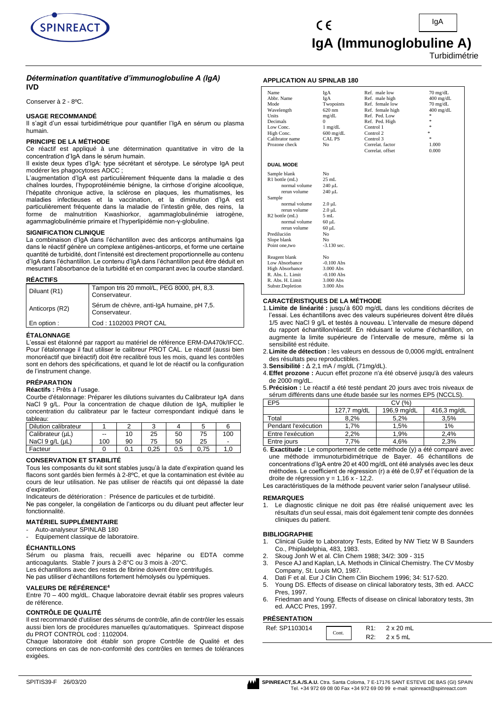

# *Détermination quantitative d'immunoglobuline A (IgA)* **IVD**

Conserver à 2 - 8ºC.

# **USAGE RECOMMANDÉ**

Il s'agit d'un essai turbidimétrique pour quantifier l'IgA en sérum ou plasma humain.

# **PRINCIPE DE LA MÉTHODE**

Ce réactif est appliqué à une détermination quantitative in vitro de la concentration d'IgA dans le sérum humain.

Il existe deux types d'IgA: type sécrétant et sérotype. Le sérotype IgA peut modérer les phagocytoses ADCC ;

L'augmentation d'IgA est particulièrement fréquente dans la maladie α des chaînes lourdes, l'hypoprotéinémie bénigne, la cirrhose d'origine alcoolique, l'hépatite chronique active, la sclérose en plaques, les rhumatismes, les maladies infectieuses et la vaccination, et la diminution d'IgA est particulièrement fréquente dans la maladie de l'intestin grêle, des reins, la forme de malnutrition Kwashiorkor, agammaglobulinémie iatrogène, agammaglobulinémie primaire et l'hyperlipidémie non-γ-globuline.

# **SIGNIFICATION CLINIQUE**

La combinaison d'IgA dans l'échantillon avec des anticorps antihumains Iga dans le réactif génère un complexe antigènes-anticorps, et forme une certaine quantité de turbidité, dont l'intensité est directement proportionnelle au contenu d'IgA dans l'échantillon. Le contenu d'IgA dans l'échantillon peut être déduit en mesurant l'absorbance de la turbidité et en comparant avec la courbe standard.

#### **RÉACTIFS**

| Diluant (R1)   | Tampon tris 20 mmol/L, PEG 8000, pH, 8,3.<br>Conservateur.  |
|----------------|-------------------------------------------------------------|
| Anticorps (R2) | Sérum de chèvre, anti-IgA humaine, pH 7,5.<br>Conservateur. |
| En option :    | Cod: 1102003 PROT CAL                                       |

# **ÉTALONNAGE**

L'essai est étalonné par rapport au matériel de référence ERM-DA470k/IFCC. Pour l'étalonnage il faut utiliser le calibreur PROT CAL. Le réactif (aussi bien monoréactif que biréactif) doit être recalibré tous les mois, quand les contrôles sont en dehors des spécifications, et quand le lot de réactif ou la configuration de l'instrument change.

# **PRÉPARATION**

# **Réactifs :** Prêts à l'usage.

Courbe d'étalonnage: Préparer les dilutions suivantes du Calibrateur IgA dans NaCl 9 g/L. Pour la concentration de chaque dilution de IgA, multiplier le concentration du calibrateur par le facteur correspondant indiqué dans le tableau:

| Dilution calibrateur    |     |    |      |     |    |     |
|-------------------------|-----|----|------|-----|----|-----|
| Calibrateur (µL)        | $-$ | 10 | 25   | 50  | 75 | 100 |
| NaCl $9$ q/L ( $\mu$ L) | 100 | 90 | 75   | 50  | 25 | -   |
| Facteur                 |     |    | 0.25 | 0.5 |    |     |

#### **CONSERVATION ET STABILITÉ**

Tous les composants du kit sont stables jusqu'à la date d'expiration quand les flacons sont gardés bien fermés à 2-8ºC, et que la contamination est évitée au cours de leur utilisation. Ne pas utiliser de réactifs qui ont dépassé la date d'expiration.

Indicateurs de détérioration : Présence de particules et de turbidité.

Ne pas congeler, la congélation de l'anticorps ou du diluant peut affecter leur fonctionnalité.

# **MATÉRIEL SUPPLÉMENTAIRE**

- Auto-analyseur SPINLAB 180
- Equipement classique de laboratoire.

#### **ÉCHANTILLONS**

Sérum ou plasma frais, recueilli avec héparine ou EDTA comme anticoagulants. Stable 7 jours à 2-8°C ou 3 mois à -20°C.

Les échantillons avec des restes de fibrine doivent être centrifugés.

Ne pas utiliser d'échantillons fortement hémolysés ou lypémiques.

# **VALEURS DE RÉFÉRENCE<sup>4</sup>**

Entre 70 – 400 mg/dL. Chaque laboratoire devrait établir ses propres valeurs de référence.

## **CONTRÔLE DE QUALITÉ**

Il est recommandé d'utiliser des sérums de contrôle, afin de contrôler les essais aussi bien lors de procédures manuelles qu'automatiques. Spinreact dispose du PROT CONTROL cod : 1102004.

Chaque laboratoire doit établir son propre Contrôle de Qualité et des corrections en cas de non-conformité des contrôles en termes de tolérances exigées.

# **APPLICATION AU SPINLAB 180**

| Name<br>Abbr. Name<br>Mode<br>Wavelength<br><b>Units</b><br>Decimals<br>Low Conc.<br>High Conc.<br>Calibrator name<br>Prozone check | IgA<br>IgA<br>Twopoints<br>$620 \text{ nm}$<br>mg/dL<br>$\Omega$<br>$1$ mg/dL<br>$600 \text{ mg/dL}$<br>CAL PS<br>N <sub>0</sub> | Ref. male low<br>Ref. male high<br>Ref. female low<br>Ref. female high<br>Ref. Ped. Low<br>Ref. Ped. High<br>Control 1<br>Control 2<br>Control 3<br>Correlat. factor<br>Correlat. offset | $70$ mg/dL<br>$400$ mg/dL<br>$70 \text{ mg/dL}$<br>$400$ mg/dL<br>ź.<br>ź.<br>ź.<br>×.<br>÷.<br>1.000<br>0.000 |
|-------------------------------------------------------------------------------------------------------------------------------------|----------------------------------------------------------------------------------------------------------------------------------|------------------------------------------------------------------------------------------------------------------------------------------------------------------------------------------|----------------------------------------------------------------------------------------------------------------|
| <b>DUAL MODE</b>                                                                                                                    |                                                                                                                                  |                                                                                                                                                                                          |                                                                                                                |
| Sample blank                                                                                                                        | N <sub>0</sub>                                                                                                                   |                                                                                                                                                                                          |                                                                                                                |
| R1 bottle (mL)                                                                                                                      | $25$ mL                                                                                                                          |                                                                                                                                                                                          |                                                                                                                |
| normal volume                                                                                                                       | 240 µL                                                                                                                           |                                                                                                                                                                                          |                                                                                                                |
| rerun volume                                                                                                                        | 240 µL                                                                                                                           |                                                                                                                                                                                          |                                                                                                                |
| Sample                                                                                                                              |                                                                                                                                  |                                                                                                                                                                                          |                                                                                                                |
| normal volume                                                                                                                       | $2.0 \mu L$                                                                                                                      |                                                                                                                                                                                          |                                                                                                                |
| rerun volume                                                                                                                        | $2.0 \mu L$                                                                                                                      |                                                                                                                                                                                          |                                                                                                                |
| $R2$ bottle $(mL)$                                                                                                                  | 5mL                                                                                                                              |                                                                                                                                                                                          |                                                                                                                |
| normal volume                                                                                                                       | $60 \mu L$                                                                                                                       |                                                                                                                                                                                          |                                                                                                                |
| rerun volume                                                                                                                        | $60 \mu L$                                                                                                                       |                                                                                                                                                                                          |                                                                                                                |
| Predilución                                                                                                                         | N <sub>0</sub>                                                                                                                   |                                                                                                                                                                                          |                                                                                                                |
| Slope blank                                                                                                                         | No                                                                                                                               |                                                                                                                                                                                          |                                                                                                                |
| Point one, two                                                                                                                      | $-3.130$ sec.                                                                                                                    |                                                                                                                                                                                          |                                                                                                                |
| Reagent blank                                                                                                                       | N <sub>0</sub>                                                                                                                   |                                                                                                                                                                                          |                                                                                                                |
| Low Absorbance                                                                                                                      | $-0.100$ Abs                                                                                                                     |                                                                                                                                                                                          |                                                                                                                |
| <b>High Absorbance</b>                                                                                                              | 3.000 Abs                                                                                                                        |                                                                                                                                                                                          |                                                                                                                |
| R. Abs. L. Limit                                                                                                                    | $-0.100$ Abs                                                                                                                     |                                                                                                                                                                                          |                                                                                                                |
| R. Abs. H. Limit                                                                                                                    | 3.000 Abs                                                                                                                        |                                                                                                                                                                                          |                                                                                                                |
| Substr.Depletion                                                                                                                    | 3.000 Abs                                                                                                                        |                                                                                                                                                                                          |                                                                                                                |

# **CARACTÉRISTIQUES DE LA MÉTHODE**

- 1.**Limite de linéarité :** jusqu'à 600 mg/dL dans les conditions décrites de l'essai. Les échantillons avec des valeurs supérieures doivent être dilués 1/5 avec NaCl 9 g/L et testés à nouveau. L'intervalle de mesure dépend du rapport échantillon/réactif. En réduisant le volume d'échantillon, on augmente la limite supérieure de l'intervalle de mesure, même si la sensibilité est réduite.
- 2.**Limite de détection :** les valeurs en dessous de 0,0006 mg/dL entraînent des résultats peu reproductibles.
- 3.**Sensibilité :** Δ 2,1 mA / mg/dL (71mg/dL).
- 4.**Effet prozone :** Aucun effet prozone n'a été observé jusqu'à des valeurs de 2000 mg/dL.
- 5.**Précision :** Le réactif a été testé pendant 20 jours avec trois niveaux de sérum différents dans une étude basée sur les normes EP5 (NCCLS).

| EP <sub>5</sub>     | CV(%)       |             |             |  |
|---------------------|-------------|-------------|-------------|--|
|                     | 127,7 mg/dL | 196,9 mg/dL | 416,3 mg/dL |  |
| Total               | 8.2%        | 5.2%        | 3.5%        |  |
| Pendant l'exécution | 1.7%        | 1.5%        | $1\%$       |  |
| Entre l'exécution   | 2,2%        | 1.9%        | 2,4%        |  |
| Entre jours         | 7.7%        | 4.6%        | 2.3%        |  |

6. **Exactitude :** Le comportement de cette méthode (y) a été comparé avec une méthode immunoturbidimétrique de Bayer. 46 échantillons de concentrations d'IgA entre 20 et 400 mg/dL ont été analysés avec les deux méthodes. Le coefficient de régression (r) a été de 0,97 et l'équation de la droite de régression  $y = 1,16x - 12,2$ .

Les caractéristiques de la méthode peuvent varier selon l'analyseur utilisé.

#### **REMARQUES**

1. Le diagnostic clinique ne doit pas être réalisé uniquement avec les résultats d'un seul essai, mais doit également tenir compte des données cliniques du patient.

#### **BIBLIOGRAPHIE**

- 1. Clinical Guide to Laboratory Tests, Edited by NW Tietz W B Saunders Co., Phipladelphia, 483, 1983.
- 2. Skoug Jonh W et al. Clin Chem 1988; 34/2: 309 315
- Pesce AJ and Kaplan, LA. Methods in Clinical Chemistry. The CV Mosby Company, St. Louis MO, 1987.
- 4. Dati F et al. Eur J Clin Chem Clin Biochem 1996; 34: 517-520.
- 5. Young DS. Effects of disease on clinical laboratory tests, 3th ed. AACC Pres, 1997.
- 6. Friedman and Young. Effects of disease on clinical laboratory tests, 3tn ed. AACC Pres, 1997.

# **PRÉSENTATION**

| .              |            |                  |
|----------------|------------|------------------|
| Ref: SP1103014 | D 1        | $2 \times 20$ mL |
| Cont.          | <b>14.</b> | mL               |